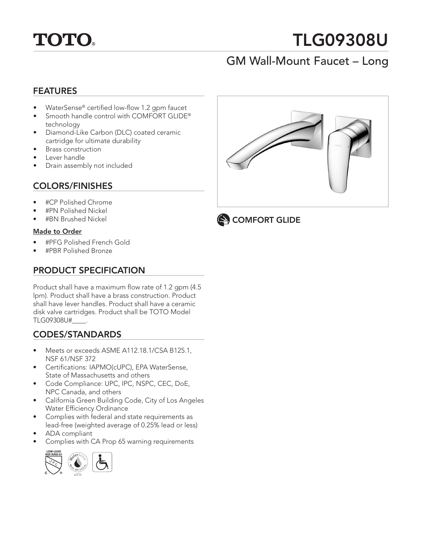

# TLG09308U

## GM Wall-Mount Faucet – Long

#### FEATURES

- WaterSense® certified low-flow 1.2 gpm faucet
- Smooth handle control with COMFORT GLIDE® technology
- Diamond-Like Carbon (DLC) coated ceramic cartridge for ultimate durability
- Brass construction
- Lever handle
- Drain assembly not included

#### COLORS/FINISHES

- #CP Polished Chrome
- #PN Polished Nickel
- #BN Brushed Nickel

#### Made to Order

- #PFG Polished French Gold
- #PBR Polished Bronze

### PRODUCT SPECIFICATION

Product shall have a maximum flow rate of 1.2 gpm (4.5 lpm). Product shall have a brass construction. Product shall have lever handles. Product shall have a ceramic disk valve cartridges. Product shall be TOTO Model TLG09308U#\_\_\_\_.

#### CODES/STANDARDS

- Meets or exceeds ASME A112.18.1/CSA B125.1, NSF 61/NSF 372
- Certifications: IAPMO(cUPC), EPA WaterSense, State of Massachusetts and others
- Code Compliance: UPC, IPC, NSPC, CEC, DoE, NPC Canada, and others
- California Green Building Code, City of Los Angeles Water Efficiency Ordinance
- Complies with federal and state requirements as lead-free (weighted average of 0.25% lead or less)
- ADA compliant
- Complies with CA Prop 65 warning requirements